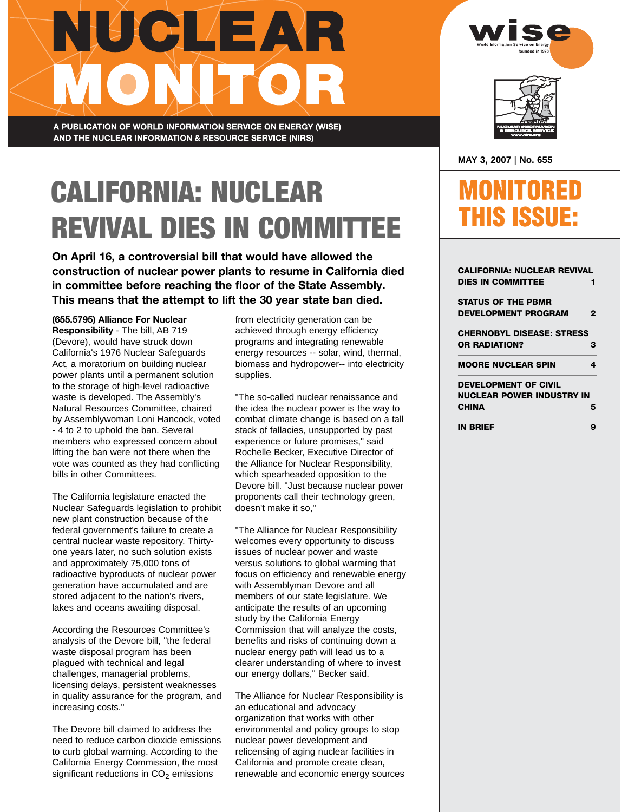## **JUCLEAR** ONUTOL

A PUBLICATION OF WORLD INFORMATION SERVICE ON ENERGY (WISE) AND THE NUCLEAR INFORMATION & RESOURCE SERVICE (NIRS)

## CALIFORNIA: NUCLEAR REVIVAL DIES IN COMMITTEE

**On April 16, a controversial bill that would have allowed the construction of nuclear power plants to resume in California died in committee before reaching the floor of the State Assembly. This means that the attempt to lift the 30 year state ban died.**

**(655.5795) Alliance For Nuclear Responsibility** - The bill, AB 719 (Devore), would have struck down California's 1976 Nuclear Safeguards Act, a moratorium on building nuclear power plants until a permanent solution to the storage of high-level radioactive waste is developed. The Assembly's Natural Resources Committee, chaired by Assemblywoman Loni Hancock, voted - 4 to 2 to uphold the ban. Several members who expressed concern about lifting the ban were not there when the vote was counted as they had conflicting bills in other Committees.

The California legislature enacted the Nuclear Safeguards legislation to prohibit new plant construction because of the federal government's failure to create a central nuclear waste repository. Thirtyone years later, no such solution exists and approximately 75,000 tons of radioactive byproducts of nuclear power generation have accumulated and are stored adjacent to the nation's rivers, lakes and oceans awaiting disposal.

According the Resources Committee's analysis of the Devore bill, "the federal waste disposal program has been plagued with technical and legal challenges, managerial problems, licensing delays, persistent weaknesses in quality assurance for the program, and increasing costs."

The Devore bill claimed to address the need to reduce carbon dioxide emissions to curb global warming. According to the California Energy Commission, the most significant reductions in  $CO<sub>2</sub>$  emissions

from electricity generation can be achieved through energy efficiency programs and integrating renewable energy resources -- solar, wind, thermal, biomass and hydropower-- into electricity supplies.

"The so-called nuclear renaissance and the idea the nuclear power is the way to combat climate change is based on a tall stack of fallacies, unsupported by past experience or future promises," said Rochelle Becker, Executive Director of the Alliance for Nuclear Responsibility, which spearheaded opposition to the Devore bill. "Just because nuclear power proponents call their technology green, doesn't make it so,"

"The Alliance for Nuclear Responsibility welcomes every opportunity to discuss issues of nuclear power and waste versus solutions to global warming that focus on efficiency and renewable energy with Assemblyman Devore and all members of our state legislature. We anticipate the results of an upcoming study by the California Energy Commission that will analyze the costs, benefits and risks of continuing down a nuclear energy path will lead us to a clearer understanding of where to invest our energy dollars," Becker said.

The Alliance for Nuclear Responsibility is an educational and advocacy organization that works with other environmental and policy groups to stop nuclear power development and relicensing of aging nuclear facilities in California and promote create clean, renewable and economic energy sources





### MONITORED **HIS ISSUE:**

| CALIFORNIA: NUCLEAR REVIVAL |   |
|-----------------------------|---|
| <b>DIES IN COMMITTEE</b>    | 1 |
| <b>STATUS OF THE PBMR</b>   |   |
| <b>DEVELOPMENT PROGRAM</b>  | 2 |
| CHERNOBYL DISEASE: STRESS   |   |
| <b>OR RADIATION?</b>        | з |
| <b>MOORE NUCLEAR SPIN</b>   | 4 |
| <b>DEVELOPMENT OF CIVIL</b> |   |
| NUCLEAR POWER INDUSTRY IN   |   |
| CHINA                       | 5 |
| IN BRIEF                    | 9 |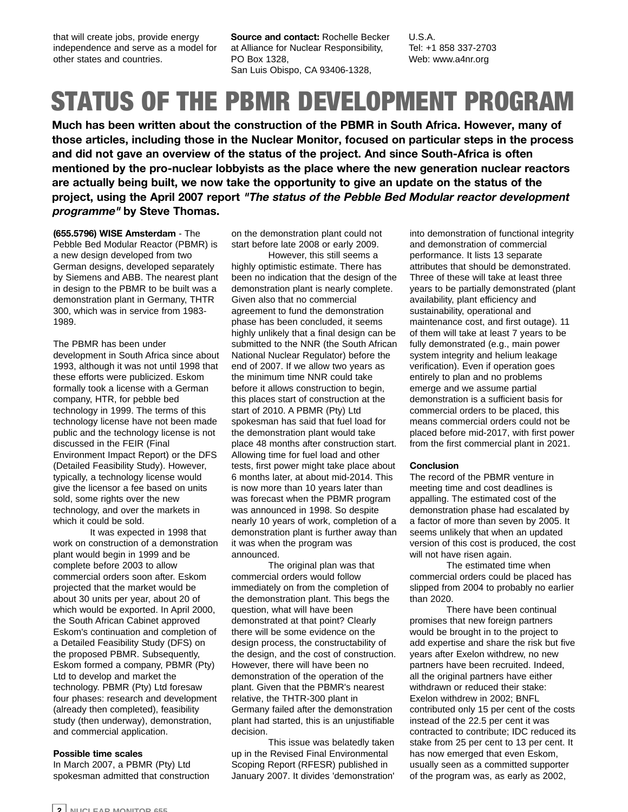that will create jobs, provide energy independence and serve as a model for other states and countries.

**Source and contact:** Rochelle Becker at Alliance for Nuclear Responsibility, PO Box 1328, San Luis Obispo, CA 93406-1328,

U.S.A. Tel: +1 858 337-2703 Web: www.a4nr.org

## STATUS OF THE PBMR DEVELOPMENT PROGRAM

**Much has been written about the construction of the PBMR in South Africa. However, many of those articles, including those in the Nuclear Monitor, focused on particular steps in the process and did not gave an overview of the status of the project. And since South-Africa is often mentioned by the pro-nuclear lobbyists as the place where the new generation nuclear reactors are actually being built, we now take the opportunity to give an update on the status of the project, using the April 2007 report "The status of the Pebble Bed Modular reactor development programme" by Steve Thomas.**

**(655.5796) WISE Amsterdam** - The Pebble Bed Modular Reactor (PBMR) is a new design developed from two German designs, developed separately by Siemens and ABB. The nearest plant in design to the PBMR to be built was a demonstration plant in Germany, THTR 300, which was in service from 1983- 1989.

The PBMR has been under development in South Africa since about 1993, although it was not until 1998 that these efforts were publicized. Eskom formally took a license with a German company, HTR, for pebble bed technology in 1999. The terms of this technology license have not been made public and the technology license is not discussed in the FEIR (Final Environment Impact Report) or the DFS (Detailed Feasibility Study). However, typically, a technology license would give the licensor a fee based on units sold, some rights over the new technology, and over the markets in which it could be sold.

It was expected in 1998 that work on construction of a demonstration plant would begin in 1999 and be complete before 2003 to allow commercial orders soon after. Eskom projected that the market would be about 30 units per year, about 20 of which would be exported. In April 2000, the South African Cabinet approved Eskom's continuation and completion of a Detailed Feasibility Study (DFS) on the proposed PBMR. Subsequently, Eskom formed a company, PBMR (Pty) Ltd to develop and market the technology. PBMR (Pty) Ltd foresaw four phases: research and development (already then completed), feasibility study (then underway), demonstration, and commercial application.

#### **Possible time scales**

In March 2007, a PBMR (Pty) Ltd spokesman admitted that construction on the demonstration plant could not start before late 2008 or early 2009.

However, this still seems a highly optimistic estimate. There has been no indication that the design of the demonstration plant is nearly complete. Given also that no commercial agreement to fund the demonstration phase has been concluded, it seems highly unlikely that a final design can be submitted to the NNR (the South African National Nuclear Regulator) before the end of 2007. If we allow two years as the minimum time NNR could take before it allows construction to begin, this places start of construction at the start of 2010. A PBMR (Pty) Ltd spokesman has said that fuel load for the demonstration plant would take place 48 months after construction start. Allowing time for fuel load and other tests, first power might take place about 6 months later, at about mid-2014. This is now more than 10 years later than was forecast when the PBMR program was announced in 1998. So despite nearly 10 years of work, completion of a demonstration plant is further away than it was when the program was announced.

The original plan was that commercial orders would follow immediately on from the completion of the demonstration plant. This begs the question, what will have been demonstrated at that point? Clearly there will be some evidence on the design process, the constructability of the design, and the cost of construction. However, there will have been no demonstration of the operation of the plant. Given that the PBMR's nearest relative, the THTR-300 plant in Germany failed after the demonstration plant had started, this is an unjustifiable decision.

This issue was belatedly taken up in the Revised Final Environmental Scoping Report (RFESR) published in January 2007. It divides 'demonstration'

into demonstration of functional integrity and demonstration of commercial performance. It lists 13 separate attributes that should be demonstrated. Three of these will take at least three years to be partially demonstrated (plant availability, plant efficiency and sustainability, operational and maintenance cost, and first outage). 11 of them will take at least 7 years to be fully demonstrated (e.g., main power system integrity and helium leakage verification). Even if operation goes entirely to plan and no problems emerge and we assume partial demonstration is a sufficient basis for commercial orders to be placed, this means commercial orders could not be placed before mid-2017, with first power from the first commercial plant in 2021.

#### **Conclusion**

The record of the PBMR venture in meeting time and cost deadlines is appalling. The estimated cost of the demonstration phase had escalated by a factor of more than seven by 2005. It seems unlikely that when an updated version of this cost is produced, the cost will not have risen again.

The estimated time when commercial orders could be placed has slipped from 2004 to probably no earlier than 2020.

There have been continual promises that new foreign partners would be brought in to the project to add expertise and share the risk but five years after Exelon withdrew, no new partners have been recruited. Indeed, all the original partners have either withdrawn or reduced their stake: Exelon withdrew in 2002; BNFL contributed only 15 per cent of the costs instead of the 22.5 per cent it was contracted to contribute; IDC reduced its stake from 25 per cent to 13 per cent. It has now emerged that even Eskom, usually seen as a committed supporter of the program was, as early as 2002,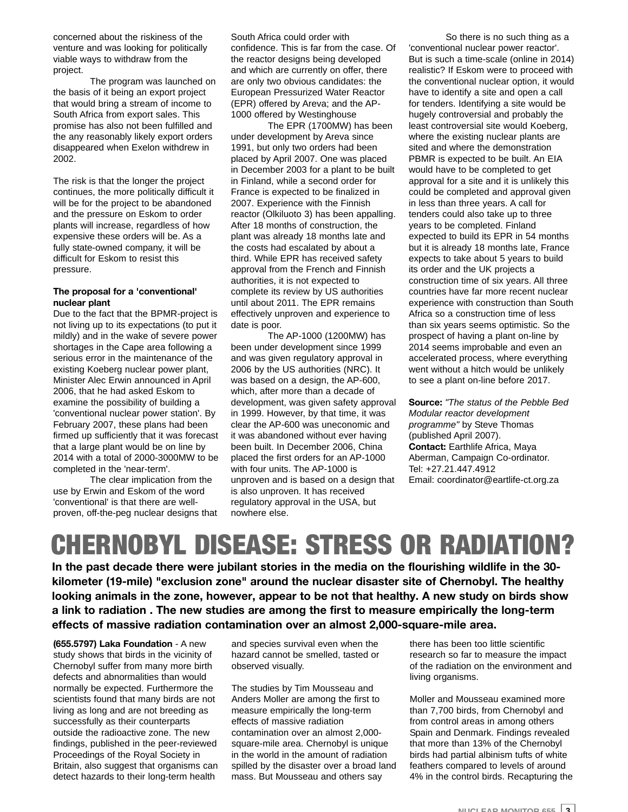concerned about the riskiness of the venture and was looking for politically viable ways to withdraw from the project.

The program was launched on the basis of it being an export project that would bring a stream of income to South Africa from export sales. This promise has also not been fulfilled and the any reasonably likely export orders disappeared when Exelon withdrew in 2002.

The risk is that the longer the project continues, the more politically difficult it will be for the project to be abandoned and the pressure on Eskom to order plants will increase, regardless of how expensive these orders will be. As a fully state-owned company, it will be difficult for Eskom to resist this pressure.

#### **The proposal for a 'conventional' nuclear plant**

Due to the fact that the BPMR-project is not living up to its expectations (to put it mildly) and in the wake of severe power shortages in the Cape area following a serious error in the maintenance of the existing Koeberg nuclear power plant, Minister Alec Erwin announced in April 2006, that he had asked Eskom to examine the possibility of building a 'conventional nuclear power station'. By February 2007, these plans had been firmed up sufficiently that it was forecast that a large plant would be on line by 2014 with a total of 2000-3000MW to be completed in the 'near-term'.

The clear implication from the use by Erwin and Eskom of the word 'conventional' is that there are wellproven, off-the-peg nuclear designs that

South Africa could order with confidence. This is far from the case. Of the reactor designs being developed and which are currently on offer, there are only two obvious candidates: the European Pressurized Water Reactor (EPR) offered by Areva; and the AP-1000 offered by Westinghouse

The EPR (1700MW) has been under development by Areva since 1991, but only two orders had been placed by April 2007. One was placed in December 2003 for a plant to be built in Finland, while a second order for France is expected to be finalized in 2007. Experience with the Finnish reactor (Olkiluoto 3) has been appalling. After 18 months of construction, the plant was already 18 months late and the costs had escalated by about a third. While EPR has received safety approval from the French and Finnish authorities, it is not expected to complete its review by US authorities until about 2011. The EPR remains effectively unproven and experience to date is poor.

The AP-1000 (1200MW) has been under development since 1999 and was given regulatory approval in 2006 by the US authorities (NRC). It was based on a design, the AP-600, which, after more than a decade of development, was given safety approval in 1999. However, by that time, it was clear the AP-600 was uneconomic and it was abandoned without ever having been built. In December 2006, China placed the first orders for an AP-1000 with four units. The AP-1000 is unproven and is based on a design that is also unproven. It has received regulatory approval in the USA, but nowhere else.

So there is no such thing as a 'conventional nuclear power reactor'. But is such a time-scale (online in 2014) realistic? If Eskom were to proceed with the conventional nuclear option, it would have to identify a site and open a call for tenders. Identifying a site would be hugely controversial and probably the least controversial site would Koeberg, where the existing nuclear plants are sited and where the demonstration PBMR is expected to be built. An EIA would have to be completed to get approval for a site and it is unlikely this could be completed and approval given in less than three years. A call for tenders could also take up to three years to be completed. Finland expected to build its EPR in 54 months but it is already 18 months late, France expects to take about 5 years to build its order and the UK projects a construction time of six years. All three countries have far more recent nuclear experience with construction than South Africa so a construction time of less than six years seems optimistic. So the prospect of having a plant on-line by 2014 seems improbable and even an accelerated process, where everything went without a hitch would be unlikely to see a plant on-line before 2017.

**Source:** *"The status of the Pebble Bed Modular reactor development programme"* by Steve Thomas (published April 2007). **Contact:** Earthlife Africa, Maya Aberman, Campaign Co-ordinator. Tel: +27.21.447.4912 Email: coordinator@eartlife-ct.org.za

## CHERNOBYL DISEASE: STRESS OR RADIATION?

**In the past decade there were jubilant stories in the media on the flourishing wildlife in the 30 kilometer (19-mile) "exclusion zone" around the nuclear disaster site of Chernobyl. The healthy looking animals in the zone, however, appear to be not that healthy. A new study on birds show a link to radiation . The new studies are among the first to measure empirically the long-term effects of massive radiation contamination over an almost 2,000-square-mile area.**

**(655.5797) Laka Foundation** - A new study shows that birds in the vicinity of Chernobyl suffer from many more birth defects and abnormalities than would normally be expected. Furthermore the scientists found that many birds are not living as long and are not breeding as successfully as their counterparts outside the radioactive zone. The new findings, published in the peer-reviewed Proceedings of the Royal Society in Britain, also suggest that organisms can detect hazards to their long-term health

and species survival even when the hazard cannot be smelled, tasted or observed visually.

The studies by Tim Mousseau and Anders Moller are among the first to measure empirically the long-term effects of massive radiation contamination over an almost 2,000 square-mile area. Chernobyl is unique in the world in the amount of radiation spilled by the disaster over a broad land mass. But Mousseau and others say

there has been too little scientific research so far to measure the impact of the radiation on the environment and living organisms.

Moller and Mousseau examined more than 7,700 birds, from Chernobyl and from control areas in among others Spain and Denmark. Findings revealed that more than 13% of the Chernobyl birds had partial albinism tufts of white feathers compared to levels of around 4% in the control birds. Recapturing the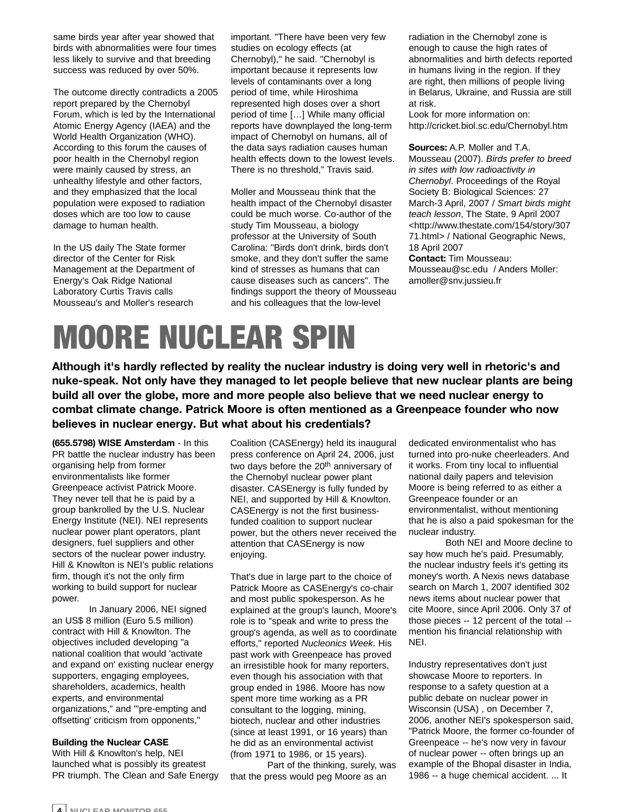same birds year after year showed that birds with abnormalities were four times less likely to survive and that breeding success was reduced by over 50%.

The outcome directly contradicts a 2005 report prepared by the Chernobyl Forum, which is led by the International Atomic Energy Agency (IAEA) and the World Health Organization (WHO). According to this forum the causes of poor health in the Chernobyl region were mainly caused by stress, an unhealthy lifestyle and other factors, and they emphasized that the local population were exposed to radiation doses which are too low to cause damage to human health.

In the US daily The State former director of the Center for Risk Management at the Department of Energy's Oak Ridge National Laboratory Curtis Travis calls Mousseau's and Moller's research

important. "There have been very few studies on ecology effects (at Chernobyl)," he said. "Chernobyl is important because it represents low levels of contaminants over a long period of time, while Hiroshima represented high doses over a short period of time […] While many official reports have downplayed the long-term impact of Chernobyl on humans, all of the data says radiation causes human health effects down to the lowest levels. There is no threshold," Travis said.

Moller and Mousseau think that the health impact of the Chernobyl disaster could be much worse. Co-author of the study Tim Mousseau, a biology professor at the University of South Carolina: "Birds don't drink, birds don't smoke, and they don't suffer the same kind of stresses as humans that can cause diseases such as cancers". The findings support the theory of Mousseau and his colleagues that the low-level

radiation in the Chernobyl zone is enough to cause the high rates of abnormalities and birth defects reported in humans living in the region. If they are right, then millions of people living in Belarus, Ukraine, and Russia are still at risk.

Look for more information on: http://cricket.biol.sc.edu/Chernobyl.htm

**Sources:** A.P. Moller and T.A. Mousseau (2007). *Birds prefer to breed in sites with low radioactivity in Chernobyl*. Proceedings of the Royal Society B: Biological Sciences: 27 March-3 April, 2007 / *Smart birds might teach lesson*, The State, 9 April 2007 <http://www.thestate.com/154/story/307 71.html> / National Geographic News, 18 April 2007 **Contact:** Tim Mousseau: Mousseau@sc.edu / Anders Moller:

amoller@snv.jussieu.fr

## MOORE NUCLEAR SPIN

**Although it's hardly reflected by reality the nuclear industry is doing very well in rhetoric's and nuke-speak. Not only have they managed to let people believe that new nuclear plants are being build all over the globe, more and more people also believe that we need nuclear energy to combat climate change. Patrick Moore is often mentioned as a Greenpeace founder who now believes in nuclear energy. But what about his credentials?**

**(655.5798) WISE Amsterdam** - In this PR battle the nuclear industry has been organising help from former environmentalists like former Greenpeace activist Patrick Moore. They never tell that he is paid by a group bankrolled by the U.S. Nuclear Energy Institute (NEI). NEI represents nuclear power plant operators, plant designers, fuel suppliers and other sectors of the nuclear power industry. Hill & Knowlton is NEI's public relations firm, though it's not the only firm working to build support for nuclear power.

In January 2006, NEI signed an US\$ 8 million (Euro 5.5 million) contract with Hill & Knowlton. The objectives included developing "a national coalition that would 'activate and expand on' existing nuclear energy supporters, engaging employees, shareholders, academics, health experts, and environmental organizations," and "'pre-empting and offsetting' criticism from opponents,"

#### **Building the Nuclear CASE**

With Hill & Knowlton's help, NEI launched what is possibly its greatest PR triumph. The Clean and Safe Energy Coalition (CASEnergy) held its inaugural press conference on April 24, 2006, just two days before the 20<sup>th</sup> anniversary of the Chernobyl nuclear power plant disaster. CASEnergy is fully funded by NEI, and supported by Hill & Knowlton. CASEnergy is not the first businessfunded coalition to support nuclear power, but the others never received the attention that CASEnergy is now enjoying.

That's due in large part to the choice of Patrick Moore as CASEnergy's co-chair and most public spokesperson. As he explained at the group's launch, Moore's role is to "speak and write to press the group's agenda, as well as to coordinate efforts," reported *Nucleonics Week*. His past work with Greenpeace has proved an irresistible hook for many reporters, even though his association with that group ended in 1986. Moore has now spent more time working as a PR consultant to the logging, mining, biotech, nuclear and other industries (since at least 1991, or 16 years) than he did as an environmental activist (from 1971 to 1986, or 15 years).

Part of the thinking, surely, was that the press would peg Moore as an

dedicated environmentalist who has turned into pro-nuke cheerleaders. And it works. From tiny local to influential national daily papers and television Moore is being referred to as either a Greenpeace founder or an environmentalist, without mentioning that he is also a paid spokesman for the nuclear industry.

Both NEI and Moore decline to say how much he's paid. Presumably, the nuclear industry feels it's getting its money's worth. A Nexis news database search on March 1, 2007 identified 302 news items about nuclear power that cite Moore, since April 2006. Only 37 of those pieces -- 12 percent of the total - mention his financial relationship with NEI.

Industry representatives don't just showcase Moore to reporters. In response to a safety question at a public debate on nuclear power in Wisconsin (USA) , on December 7, 2006, another NEI's spokesperson said, "Patrick Moore, the former co-founder of Greenpeace -- he's now very in favour of nuclear power -- often brings up an example of the Bhopal disaster in India, 1986 -- a huge chemical accident. ... It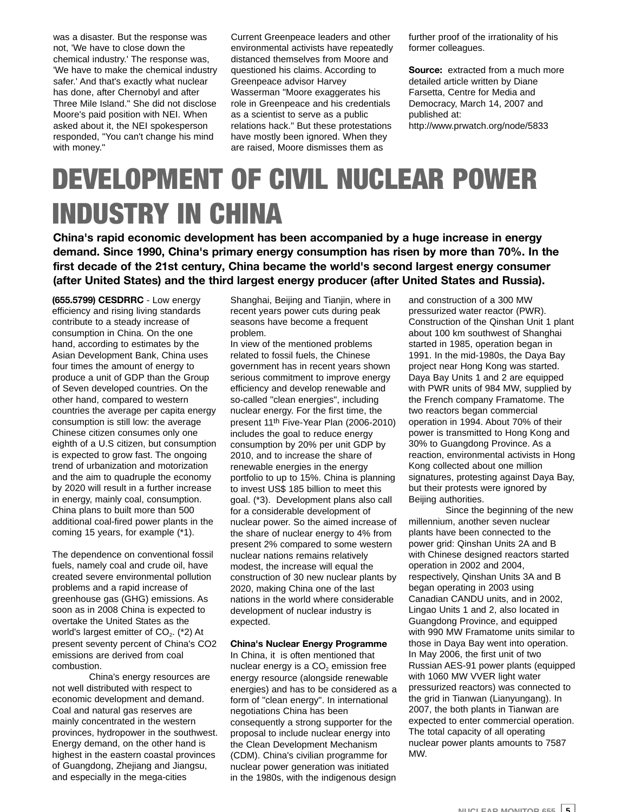was a disaster. But the response was not, 'We have to close down the chemical industry.' The response was, 'We have to make the chemical industry safer.' And that's exactly what nuclear has done, after Chernobyl and after Three Mile Island." She did not disclose Moore's paid position with NEI. When asked about it, the NEI spokesperson responded, "You can't change his mind with money."

Current Greenpeace leaders and other environmental activists have repeatedly distanced themselves from Moore and questioned his claims. According to Greenpeace advisor Harvey Wasserman "Moore exaggerates his role in Greenpeace and his credentials as a scientist to serve as a public relations hack." But these protestations have mostly been ignored. When they are raised, Moore dismisses them as

further proof of the irrationality of his former colleagues.

**Source:** extracted from a much more detailed article written by Diane Farsetta, Centre for Media and Democracy, March 14, 2007 and published at: http://www.prwatch.org/node/5833

## DEVELOPMENT OF CIVIL NUCLEAR POWER INDUSTRY IN CHINA

**China's rapid economic development has been accompanied by a huge increase in energy demand. Since 1990, China's primary energy consumption has risen by more than 70%. In the first decade of the 21st century, China became the world's second largest energy consumer (after United States) and the third largest energy producer (after United States and Russia).**

**(655.5799) CESDRRC** - Low energy efficiency and rising living standards contribute to a steady increase of consumption in China. On the one hand, according to estimates by the Asian Development Bank, China uses four times the amount of energy to produce a unit of GDP than the Group of Seven developed countries. On the other hand, compared to western countries the average per capita energy consumption is still low: the average Chinese citizen consumes only one eighth of a U.S citizen, but consumption is expected to grow fast. The ongoing trend of urbanization and motorization and the aim to quadruple the economy by 2020 will result in a further increase in energy, mainly coal, consumption. China plans to built more than 500 additional coal-fired power plants in the coming 15 years, for example (\*1).

The dependence on conventional fossil fuels, namely coal and crude oil, have created severe environmental pollution problems and a rapid increase of greenhouse gas (GHG) emissions. As soon as in 2008 China is expected to overtake the United States as the world's largest emitter of  $CO<sub>2</sub>$ . (\*2) At present seventy percent of China's CO2 emissions are derived from coal combustion.

China's energy resources are not well distributed with respect to economic development and demand. Coal and natural gas reserves are mainly concentrated in the western provinces, hydropower in the southwest. Energy demand, on the other hand is highest in the eastern coastal provinces of Guangdong, Zhejiang and Jiangsu, and especially in the mega-cities

Shanghai, Beijing and Tianjin, where in recent years power cuts during peak seasons have become a frequent problem.

In view of the mentioned problems related to fossil fuels, the Chinese government has in recent years shown serious commitment to improve energy efficiency and develop renewable and so-called "clean energies", including nuclear energy. For the first time, the present 11th Five-Year Plan (2006-2010) includes the goal to reduce energy consumption by 20% per unit GDP by 2010, and to increase the share of renewable energies in the energy portfolio to up to 15%. China is planning to invest US\$ 185 billion to meet this goal. (\*3). Development plans also call for a considerable development of nuclear power. So the aimed increase of the share of nuclear energy to 4% from present 2% compared to some western nuclear nations remains relatively modest, the increase will equal the construction of 30 new nuclear plants by 2020, making China one of the last nations in the world where considerable development of nuclear industry is expected.

#### **China's Nuclear Energy Programme**

In China, it is often mentioned that nuclear energy is a  $CO<sub>2</sub>$  emission free energy resource (alongside renewable energies) and has to be considered as a form of "clean energy". In international negotiations China has been consequently a strong supporter for the proposal to include nuclear energy into the Clean Development Mechanism (CDM). China's civilian programme for nuclear power generation was initiated in the 1980s, with the indigenous design

and construction of a 300 MW pressurized water reactor (PWR). Construction of the Qinshan Unit 1 plant about 100 km southwest of Shanghai started in 1985, operation began in 1991. In the mid-1980s, the Daya Bay project near Hong Kong was started. Daya Bay Units 1 and 2 are equipped with PWR units of 984 MW, supplied by the French company Framatome. The two reactors began commercial operation in 1994. About 70% of their power is transmitted to Hong Kong and 30% to Guangdong Province. As a reaction, environmental activists in Hong Kong collected about one million signatures, protesting against Daya Bay, but their protests were ignored by Beijing authorities.

Since the beginning of the new millennium, another seven nuclear plants have been connected to the power grid: Qinshan Units 2A and B with Chinese designed reactors started operation in 2002 and 2004, respectively, Qinshan Units 3A and B began operating in 2003 using Canadian CANDU units, and in 2002, Lingao Units 1 and 2, also located in Guangdong Province, and equipped with 990 MW Framatome units similar to those in Daya Bay went into operation. In May 2006, the first unit of two Russian AES-91 power plants (equipped with 1060 MW VVER light water pressurized reactors) was connected to the grid in Tianwan (Lianyungang). In 2007, the both plants in Tianwan are expected to enter commercial operation. The total capacity of all operating nuclear power plants amounts to 7587 MW.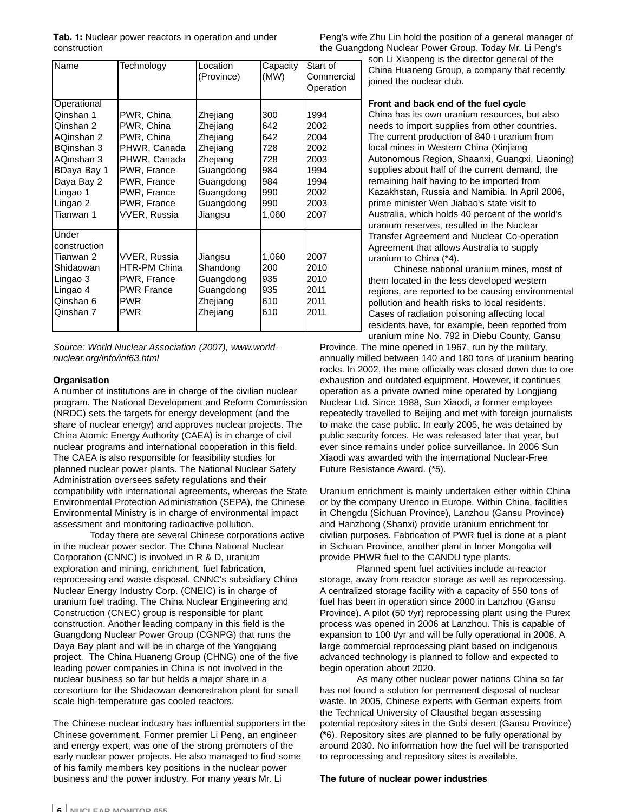**Tab. 1:** Nuclear power reactors in operation and under construction

| Name                                                                                                                                              | Technology                                                                                                                                                | Location<br>(Province)                                                                                                  | Capacity<br>(MW)                                                     | Start of<br>Commercial<br>Operation                                          |
|---------------------------------------------------------------------------------------------------------------------------------------------------|-----------------------------------------------------------------------------------------------------------------------------------------------------------|-------------------------------------------------------------------------------------------------------------------------|----------------------------------------------------------------------|------------------------------------------------------------------------------|
| Operational<br>Qinshan 1<br>Qinshan 2<br>AQinshan 2<br>BQinshan 3<br>AQinshan 3<br>BDaya Bay 1<br>Daya Bay 2<br>Lingao 1<br>Lingao 2<br>Tianwan 1 | PWR, China<br>PWR, China<br>PWR, China<br>PHWR, Canada<br>PHWR, Canada<br>PWR, France<br>PWR, France<br>PWR, France<br>PWR, France<br><b>VVER, Russia</b> | Zhejiang<br>Zhejiang<br>Zhejiang<br>Zhejiang<br>Zhejiang<br>Guangdong<br>Guangdong<br>Guangdong<br>Guangdong<br>Jiangsu | 300<br>642<br>642<br>728<br>728<br>984<br>984<br>990<br>990<br>1,060 | 1994<br>2002<br>2004<br>2002<br>2003<br>1994<br>1994<br>2002<br>2003<br>2007 |
| Under<br>construction<br>Tianwan 2<br>Shidaowan<br>Lingao 3<br>Lingao 4<br>Qinshan 6<br>Qinshan 7                                                 | VVER, Russia<br>HTR-PM China<br>PWR, France<br><b>PWR France</b><br><b>PWR</b><br><b>PWR</b>                                                              | Jiangsu<br>Shandong<br>Guangdong<br>Guangdong<br>Zhejiang<br>Zhejiang                                                   | 1,060<br>200<br>935<br>935<br>610<br>610                             | 2007<br>2010<br>2010<br>2011<br>2011<br>2011                                 |

*Source: World Nuclear Association (2007), www.worldnuclear.org/info/inf63.html*

#### **Organisation**

A number of institutions are in charge of the civilian nuclear program. The National Development and Reform Commission (NRDC) sets the targets for energy development (and the share of nuclear energy) and approves nuclear projects. The China Atomic Energy Authority (CAEA) is in charge of civil nuclear programs and international cooperation in this field. The CAEA is also responsible for feasibility studies for planned nuclear power plants. The National Nuclear Safety Administration oversees safety regulations and their compatibility with international agreements, whereas the State Environmental Protection Administration (SEPA), the Chinese Environmental Ministry is in charge of environmental impact assessment and monitoring radioactive pollution.

Today there are several Chinese corporations active in the nuclear power sector. The China National Nuclear Corporation (CNNC) is involved in R & D, uranium exploration and mining, enrichment, fuel fabrication, reprocessing and waste disposal. CNNC's subsidiary China Nuclear Energy Industry Corp. (CNEIC) is in charge of uranium fuel trading. The China Nuclear Engineering and Construction (CNEC) group is responsible for plant construction. Another leading company in this field is the Guangdong Nuclear Power Group (CGNPG) that runs the Daya Bay plant and will be in charge of the Yangqiang project. The China Huaneng Group (CHNG) one of the five leading power companies in China is not involved in the nuclear business so far but helds a major share in a consortium for the Shidaowan demonstration plant for small scale high-temperature gas cooled reactors.

The Chinese nuclear industry has influential supporters in the Chinese government. Former premier Li Peng, an engineer and energy expert, was one of the strong promoters of the early nuclear power projects. He also managed to find some of his family members key positions in the nuclear power business and the power industry. For many years Mr. Li

Peng's wife Zhu Lin hold the position of a general manager of the Guangdong Nuclear Power Group. Today Mr. Li Peng's

son Li Xiaopeng is the director general of the China Huaneng Group, a company that recently joined the nuclear club.

#### **Front and back end of the fuel cycle**

China has its own uranium resources, but also needs to import supplies from other countries. The current production of 840 t uranium from local mines in Western China (Xinjiang Autonomous Region, Shaanxi, Guangxi, Liaoning) supplies about half of the current demand, the remaining half having to be imported from Kazakhstan, Russia and Namibia. In April 2006, prime minister Wen Jiabao's state visit to Australia, which holds 40 percent of the world's uranium reserves, resulted in the Nuclear Transfer Agreement and Nuclear Co-operation Agreement that allows Australia to supply uranium to China (\*4).

Chinese national uranium mines, most of them located in the less developed western regions, are reported to be causing environmental pollution and health risks to local residents. Cases of radiation poisoning affecting local residents have, for example, been reported from uranium mine No. 792 in Diebu County, Gansu

Province. The mine opened in 1967, run by the military, annually milled between 140 and 180 tons of uranium bearing rocks. In 2002, the mine officially was closed down due to ore exhaustion and outdated equipment. However, it continues operation as a private owned mine operated by Longjiang Nuclear Ltd. Since 1988, Sun Xiaodi, a former employee repeatedly travelled to Beijing and met with foreign journalists to make the case public. In early 2005, he was detained by public security forces. He was released later that year, but ever since remains under police surveillance. In 2006 Sun Xiaodi was awarded with the international Nuclear-Free Future Resistance Award. (\*5).

Uranium enrichment is mainly undertaken either within China or by the company Urenco in Europe. Within China, facilities in Chengdu (Sichuan Province), Lanzhou (Gansu Province) and Hanzhong (Shanxi) provide uranium enrichment for civilian purposes. Fabrication of PWR fuel is done at a plant in Sichuan Province, another plant in Inner Mongolia will provide PHWR fuel to the CANDU type plants.

Planned spent fuel activities include at-reactor storage, away from reactor storage as well as reprocessing. A centralized storage facility with a capacity of 550 tons of fuel has been in operation since 2000 in Lanzhou (Gansu Province). A pilot (50 t/yr) reprocessing plant using the Purex process was opened in 2006 at Lanzhou. This is capable of expansion to 100 t/yr and will be fully operational in 2008. A large commercial reprocessing plant based on indigenous advanced technology is planned to follow and expected to begin operation about 2020.

As many other nuclear power nations China so far has not found a solution for permanent disposal of nuclear waste. In 2005, Chinese experts with German experts from the Technical University of Clausthal began assessing potential repository sites in the Gobi desert (Gansu Province) (\*6). Repository sites are planned to be fully operational by around 2030. No information how the fuel will be transported to reprocessing and repository sites is available.

#### **The future of nuclear power industries**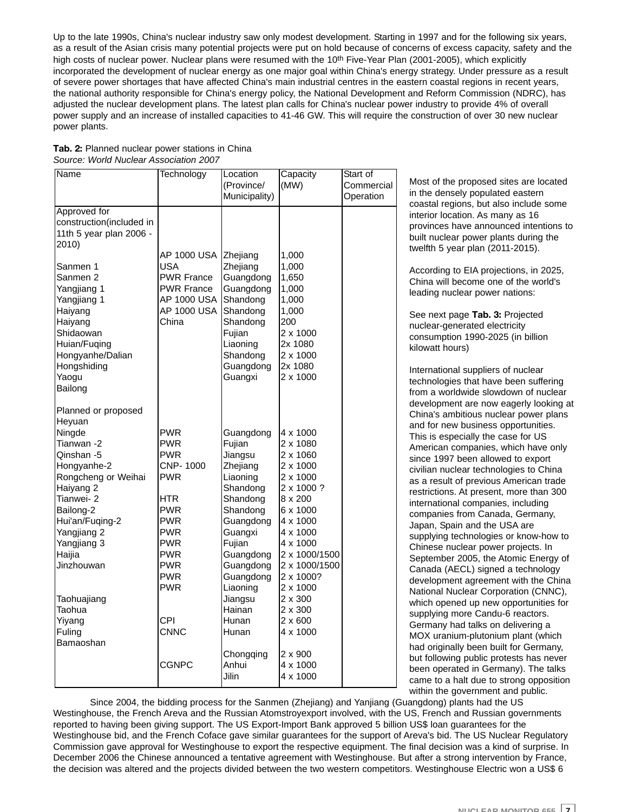Up to the late 1990s, China's nuclear industry saw only modest development. Starting in 1997 and for the following six years, as a result of the Asian crisis many potential projects were put on hold because of concerns of excess capacity, safety and the high costs of nuclear power. Nuclear plans were resumed with the 10<sup>th</sup> Five-Year Plan (2001-2005), which explicitly incorporated the development of nuclear energy as one major goal within China's energy strategy. Under pressure as a result of severe power shortages that have affected China's main industrial centres in the eastern coastal regions in recent years, the national authority responsible for China's energy policy, the National Development and Reform Commission (NDRC), has adjusted the nuclear development plans. The latest plan calls for China's nuclear power industry to provide 4% of overall power supply and an increase of installed capacities to 41-46 GW. This will require the construction of over 30 new nuclear power plants.

| <b>Name</b>              | Technology                | Location<br>(Province/<br>Municipality) | Capacity<br>(MW) | Start of<br>Commercial<br>Operation |
|--------------------------|---------------------------|-----------------------------------------|------------------|-------------------------------------|
|                          |                           |                                         |                  |                                     |
| Approved for             |                           |                                         |                  |                                     |
| construction(included in |                           |                                         |                  |                                     |
| 11th 5 year plan 2006 -  |                           |                                         |                  |                                     |
| 2010)                    |                           |                                         |                  |                                     |
|                          | AP 1000 USA<br><b>USA</b> | Zhejiang                                | 1,000            |                                     |
| Sanmen 1                 | <b>PWR France</b>         | Zhejiang                                | 1,000            |                                     |
| Sanmen 2                 | <b>PWR France</b>         | Guangdong<br>Guangdong                  | 1,650<br>1,000   |                                     |
| Yangjiang 1              | AP 1000 USA               | Shandong                                |                  |                                     |
| Yangjiang 1<br>Haiyang   | AP 1000 USA               | Shandong                                | 1,000<br>1,000   |                                     |
| Haiyang                  | China                     | Shandong                                | 200              |                                     |
| Shidaowan                |                           | Fujian                                  | 2 x 1000         |                                     |
| Huian/Fuqing             |                           | Liaoning                                | 2x 1080          |                                     |
| Hongyanhe/Dalian         |                           | Shandong                                | 2 x 1000         |                                     |
| Hongshiding              |                           | Guangdong                               | 2x 1080          |                                     |
| Yaogu                    |                           | Guangxi                                 | 2 x 1000         |                                     |
| Bailong                  |                           |                                         |                  |                                     |
|                          |                           |                                         |                  |                                     |
| Planned or proposed      |                           |                                         |                  |                                     |
| Heyuan                   |                           |                                         |                  |                                     |
| Ningde                   | <b>PWR</b>                | Guangdong                               | 4 x 1000         |                                     |
| Tianwan -2               | <b>PWR</b>                | Fujian                                  | 2 x 1080         |                                     |
| Qinshan -5               | <b>PWR</b>                | Jiangsu                                 | 2 x 1060         |                                     |
| Hongyanhe-2              | CNP-1000                  | Zhejiang                                | 2 x 1000         |                                     |
| Rongcheng or Weihai      | PWR                       | Liaoning                                | 2 x 1000         |                                     |
| Haiyang 2                |                           | Shandong                                | 2 x 1000 ?       |                                     |
| Tianwei- 2               | HTR                       | Shandong                                | $8 \times 200$   |                                     |
| Bailong-2                | <b>PWR</b>                | Shandong                                | 6 x 1000         |                                     |
| Hui'an/Fuqing-2          | <b>PWR</b>                | Guangdong                               | 4 x 1000         |                                     |
| Yangjiang 2              | <b>PWR</b>                | Guangxi                                 | 4 x 1000         |                                     |
| Yangjiang 3              | <b>PWR</b>                | Fujian                                  | 4 x 1000         |                                     |
| Haijia                   | <b>PWR</b>                | Guangdong                               | 2 x 1000/1500    |                                     |
| Jinzhouwan               | <b>PWR</b>                | Guangdong                               | 2 x 1000/1500    |                                     |
|                          | <b>PWR</b>                | Guangdong                               | 2 x 1000?        |                                     |
|                          | <b>PWR</b>                | Liaoning                                | 2 x 1000         |                                     |
| Taohuajiang              |                           | Jiangsu                                 | 2 x 300          |                                     |
| Taohua                   |                           | Hainan                                  | 2 x 300          |                                     |
| Yiyang                   | CPI                       | Hunan                                   | 2 x 600          |                                     |
| Fuling                   | <b>CNNC</b>               | Hunan                                   | 4 x 1000         |                                     |
| Bamaoshan                |                           |                                         |                  |                                     |
|                          |                           | Chongqing                               | 2 x 900          |                                     |
|                          | CGNPC                     | Anhui                                   | 4 x 1000         |                                     |
|                          |                           | Jilin                                   | 4 x 1000         |                                     |

#### **Tab. 2:** Planned nuclear power stations in China *Source: World Nuclear Association 2007*

Most of the proposed sites are located in the densely populated eastern coastal regions, but also include some interior location. As many as 16 provinces have announced intentions to built nuclear power plants during the twelfth 5 year plan (2011-2015).

According to EIA projections, in 2025, China will become one of the world's leading nuclear power nations:

See next page **Tab. 3:** Projected nuclear-generated electricity consumption 1990-2025 (in billion kilowatt hours)

International suppliers of nuclear technologies that have been suffering from a worldwide slowdown of nuclear development are now eagerly looking at China's ambitious nuclear power plans and for new business opportunities. This is especially the case for US American companies, which have only since 1997 been allowed to export civilian nuclear technologies to China as a result of previous American trade restrictions. At present, more than 300 international companies, including companies from Canada, Germany, Japan, Spain and the USA are supplying technologies or know-how to Chinese nuclear power projects. In September 2005, the Atomic Energy of Canada (AECL) signed a technology development agreement with the China National Nuclear Corporation (CNNC), which opened up new opportunities for supplying more Candu-6 reactors. Germany had talks on delivering a MOX uranium-plutonium plant (which had originally been built for Germany, but following public protests has never been operated in Germany). The talks came to a halt due to strong opposition within the government and public.

Since 2004, the bidding process for the Sanmen (Zhejiang) and Yanjiang (Guangdong) plants had the US Westinghouse, the French Areva and the Russian Atomstroyexport involved, with the US, French and Russian governments reported to having been giving support. The US Export-Import Bank approved 5 billion US\$ loan guarantees for the Westinghouse bid, and the French Coface gave similar guarantees for the support of Areva's bid. The US Nuclear Regulatory Commission gave approval for Westinghouse to export the respective equipment. The final decision was a kind of surprise. In December 2006 the Chinese announced a tentative agreement with Westinghouse. But after a strong intervention by France, the decision was altered and the projects divided between the two western competitors. Westinghouse Electric won a US\$ 6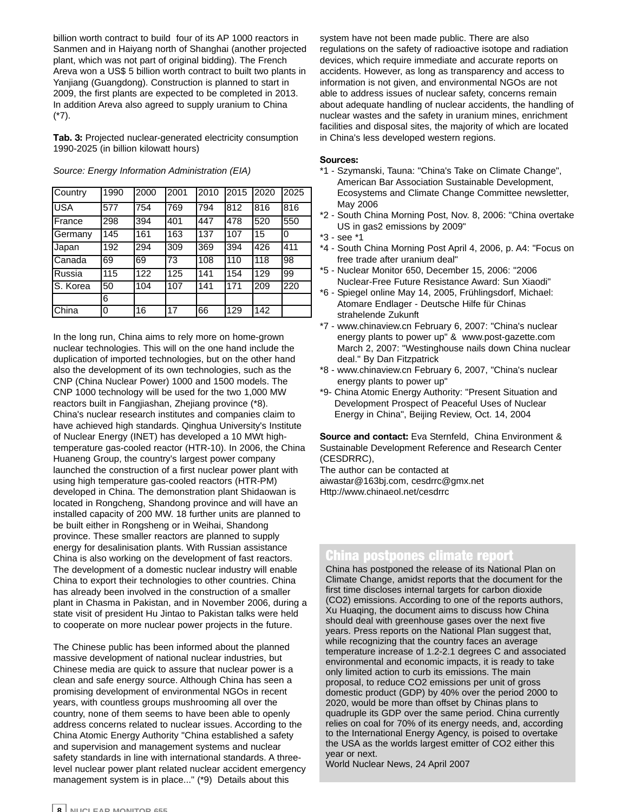billion worth contract to build four of its AP 1000 reactors in Sanmen and in Haiyang north of Shanghai (another projected plant, which was not part of original bidding). The French Areva won a US\$ 5 billion worth contract to built two plants in Yanjiang (Guangdong). Construction is planned to start in 2009, the first plants are expected to be completed in 2013. In addition Areva also agreed to supply uranium to China (\*7).

**Tab. 3:** Projected nuclear-generated electricity consumption 1990-2025 (in billion kilowatt hours)

| Country       | 1990 | 2000 | 2001 | 2010 | 2015 | 12020 | 2025 |
|---------------|------|------|------|------|------|-------|------|
| <b>USA</b>    | 577  | 754  | 769  | 794  | 812  | 816   | 816  |
| France        | 298  | 394  | 1401 | 447  | 478  | 520   | 550  |
| Germany       | 145  | 161  | 163  | 137  | 107  | 15    | 0    |
| Japan         | 192  | 294  | 309  | 369  | 394  | 426   | 411  |
| Canada        | 69   | 69   | 73   | 108  | 110  | 118   | 98   |
| Russia        | 115  | 122  | 125  | 141  | 154  | 129   | 99   |
| S. Korea      | 50   | 104  | 107  | 141  | 171  | 209   | 220  |
|               | 6    |      |      |      |      |       |      |
| <b>IChina</b> | 0    | 16   | 17   | 66   | 129  | 142   |      |

*Source: Energy Information Administration (EIA)*

In the long run, China aims to rely more on home-grown nuclear technologies. This will on the one hand include the duplication of imported technologies, but on the other hand also the development of its own technologies, such as the CNP (China Nuclear Power) 1000 and 1500 models. The CNP 1000 technology will be used for the two 1,000 MW reactors built in Fangjiashan, Zhejiang province (\*8). China's nuclear research institutes and companies claim to have achieved high standards. Qinghua University's Institute of Nuclear Energy (INET) has developed a 10 MWt hightemperature gas-cooled reactor (HTR-10). In 2006, the China Huaneng Group, the country's largest power company launched the construction of a first nuclear power plant with using high temperature gas-cooled reactors (HTR-PM) developed in China. The demonstration plant Shidaowan is located in Rongcheng, Shandong province and will have an installed capacity of 200 MW. 18 further units are planned to be built either in Rongsheng or in Weihai, Shandong province. These smaller reactors are planned to supply energy for desalinisation plants. With Russian assistance China is also working on the development of fast reactors. The development of a domestic nuclear industry will enable China to export their technologies to other countries. China has already been involved in the construction of a smaller plant in Chasma in Pakistan, and in November 2006, during a state visit of president Hu Jintao to Pakistan talks were held to cooperate on more nuclear power projects in the future.

The Chinese public has been informed about the planned massive development of national nuclear industries, but Chinese media are quick to assure that nuclear power is a clean and safe energy source. Although China has seen a promising development of environmental NGOs in recent years, with countless groups mushrooming all over the country, none of them seems to have been able to openly address concerns related to nuclear issues. According to the China Atomic Energy Authority "China established a safety and supervision and management systems and nuclear safety standards in line with international standards. A threelevel nuclear power plant related nuclear accident emergency management system is in place..." (\*9) Details about this

system have not been made public. There are also regulations on the safety of radioactive isotope and radiation devices, which require immediate and accurate reports on accidents. However, as long as transparency and access to information is not given, and environmental NGOs are not able to address issues of nuclear safety, concerns remain about adequate handling of nuclear accidents, the handling of nuclear wastes and the safety in uranium mines, enrichment facilities and disposal sites, the majority of which are located in China's less developed western regions.

#### **Sources:**

- \*1 Szymanski, Tauna: "China's Take on Climate Change", American Bar Association Sustainable Development, Ecosystems and Climate Change Committee newsletter, May 2006
- \*2 South China Morning Post, Nov. 8, 2006: "China overtake US in gas2 emissions by 2009"
- \*3 see \*1
- \*4 South China Morning Post April 4, 2006, p. A4: "Focus on free trade after uranium deal"
- \*5 Nuclear Monitor 650, December 15, 2006: "2006 Nuclear-Free Future Resistance Award: Sun Xiaodi"
- \*6 Spiegel online May 14, 2005, Frühlingsdorf, Michael: Atomare Endlager - Deutsche Hilfe für Chinas strahelende Zukunft
- \*7 www.chinaview.cn February 6, 2007: "China's nuclear energy plants to power up" & www.post-gazette.com March 2, 2007: "Westinghouse nails down China nuclear deal." By Dan Fitzpatrick
- \*8 www.chinaview.cn February 6, 2007, "China's nuclear energy plants to power up"
- \*9- China Atomic Energy Authority: "Present Situation and Development Prospect of Peaceful Uses of Nuclear Energy in China", Beijing Review, Oct. 14, 2004

**Source and contact:** Eva Sternfeld, China Environment & Sustainable Development Reference and Research Center (CESDRRC),

The author can be contacted at aiwastar@163bj.com, cesdrrc@gmx.net Http://www.chinaeol.net/cesdrrc

#### China postpones climate report

China has postponed the release of its National Plan on Climate Change, amidst reports that the document for the first time discloses internal targets for carbon dioxide (CO2) emissions. According to one of the reports authors, Xu Huaqing, the document aims to discuss how China should deal with greenhouse gases over the next five years. Press reports on the National Plan suggest that, while recognizing that the country faces an average temperature increase of 1.2-2.1 degrees C and associated environmental and economic impacts, it is ready to take only limited action to curb its emissions. The main proposal, to reduce CO2 emissions per unit of gross domestic product (GDP) by 40% over the period 2000 to 2020, would be more than offset by Chinas plans to quadruple its GDP over the same period. China currently relies on coal for 70% of its energy needs, and, according to the International Energy Agency, is poised to overtake the USA as the worlds largest emitter of CO2 either this year or next.

World Nuclear News, 24 April 2007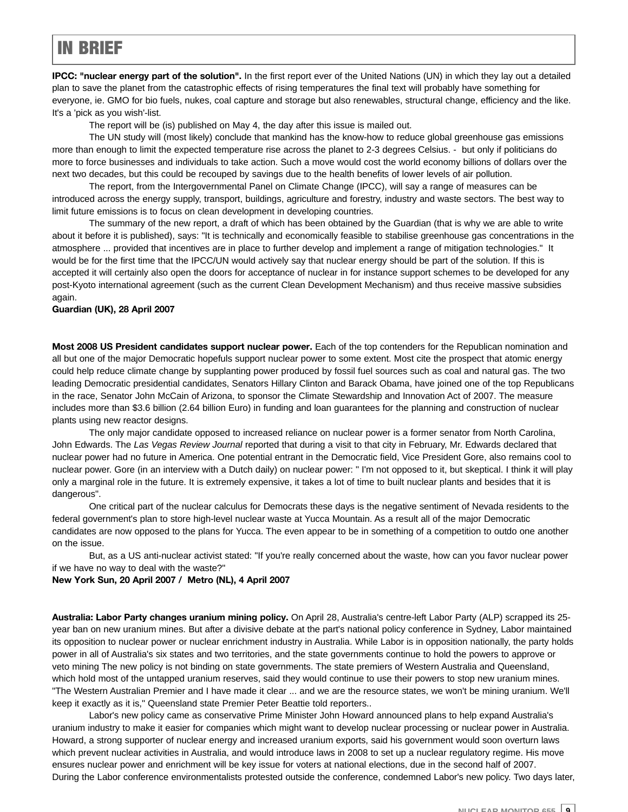#### IN BRIEF

**IPCC: "nuclear energy part of the solution".** In the first report ever of the United Nations (UN) in which they lay out a detailed plan to save the planet from the catastrophic effects of rising temperatures the final text will probably have something for everyone, ie. GMO for bio fuels, nukes, coal capture and storage but also renewables, structural change, efficiency and the like. It's a 'pick as you wish'-list.

The report will be (is) published on May 4, the day after this issue is mailed out.

The UN study will (most likely) conclude that mankind has the know-how to reduce global greenhouse gas emissions more than enough to limit the expected temperature rise across the planet to 2-3 degrees Celsius. - but only if politicians do more to force businesses and individuals to take action. Such a move would cost the world economy billions of dollars over the next two decades, but this could be recouped by savings due to the health benefits of lower levels of air pollution.

The report, from the Intergovernmental Panel on Climate Change (IPCC), will say a range of measures can be introduced across the energy supply, transport, buildings, agriculture and forestry, industry and waste sectors. The best way to limit future emissions is to focus on clean development in developing countries.

The summary of the new report, a draft of which has been obtained by the Guardian (that is why we are able to write about it before it is published), says: "It is technically and economically feasible to stabilise greenhouse gas concentrations in the atmosphere ... provided that incentives are in place to further develop and implement a range of mitigation technologies." It would be for the first time that the IPCC/UN would actively say that nuclear energy should be part of the solution. If this is accepted it will certainly also open the doors for acceptance of nuclear in for instance support schemes to be developed for any post-Kyoto international agreement (such as the current Clean Development Mechanism) and thus receive massive subsidies again.

#### **Guardian (UK), 28 April 2007**

**Most 2008 US President candidates support nuclear power.** Each of the top contenders for the Republican nomination and all but one of the major Democratic hopefuls support nuclear power to some extent. Most cite the prospect that atomic energy could help reduce climate change by supplanting power produced by fossil fuel sources such as coal and natural gas. The two leading Democratic presidential candidates, Senators Hillary Clinton and Barack Obama, have joined one of the top Republicans in the race, Senator John McCain of Arizona, to sponsor the Climate Stewardship and Innovation Act of 2007. The measure includes more than \$3.6 billion (2.64 billion Euro) in funding and loan guarantees for the planning and construction of nuclear plants using new reactor designs.

The only major candidate opposed to increased reliance on nuclear power is a former senator from North Carolina, John Edwards. The *Las Vegas Review Journal* reported that during a visit to that city in February, Mr. Edwards declared that nuclear power had no future in America. One potential entrant in the Democratic field, Vice President Gore, also remains cool to nuclear power. Gore (in an interview with a Dutch daily) on nuclear power: " I'm not opposed to it, but skeptical. I think it will play only a marginal role in the future. It is extremely expensive, it takes a lot of time to built nuclear plants and besides that it is dangerous".

One critical part of the nuclear calculus for Democrats these days is the negative sentiment of Nevada residents to the federal government's plan to store high-level nuclear waste at Yucca Mountain. As a result all of the major Democratic candidates are now opposed to the plans for Yucca. The even appear to be in something of a competition to outdo one another on the issue.

But, as a US anti-nuclear activist stated: "If you're really concerned about the waste, how can you favor nuclear power if we have no way to deal with the waste?"

#### **New York Sun, 20 April 2007 / Metro (NL), 4 April 2007**

**Australia: Labor Party changes uranium mining policy.** On April 28, Australia's centre-left Labor Party (ALP) scrapped its 25 year ban on new uranium mines. But after a divisive debate at the part's national policy conference in Sydney, Labor maintained its opposition to nuclear power or nuclear enrichment industry in Australia. While Labor is in opposition nationally, the party holds power in all of Australia's six states and two territories, and the state governments continue to hold the powers to approve or veto mining The new policy is not binding on state governments. The state premiers of Western Australia and Queensland, which hold most of the untapped uranium reserves, said they would continue to use their powers to stop new uranium mines. "The Western Australian Premier and I have made it clear ... and we are the resource states, we won't be mining uranium. We'll keep it exactly as it is," Queensland state Premier Peter Beattie told reporters..

Labor's new policy came as conservative Prime Minister John Howard announced plans to help expand Australia's uranium industry to make it easier for companies which might want to develop nuclear processing or nuclear power in Australia. Howard, a strong supporter of nuclear energy and increased uranium exports, said his government would soon overturn laws which prevent nuclear activities in Australia, and would introduce laws in 2008 to set up a nuclear regulatory regime. His move ensures nuclear power and enrichment will be key issue for voters at national elections, due in the second half of 2007. During the Labor conference environmentalists protested outside the conference, condemned Labor's new policy. Two days later,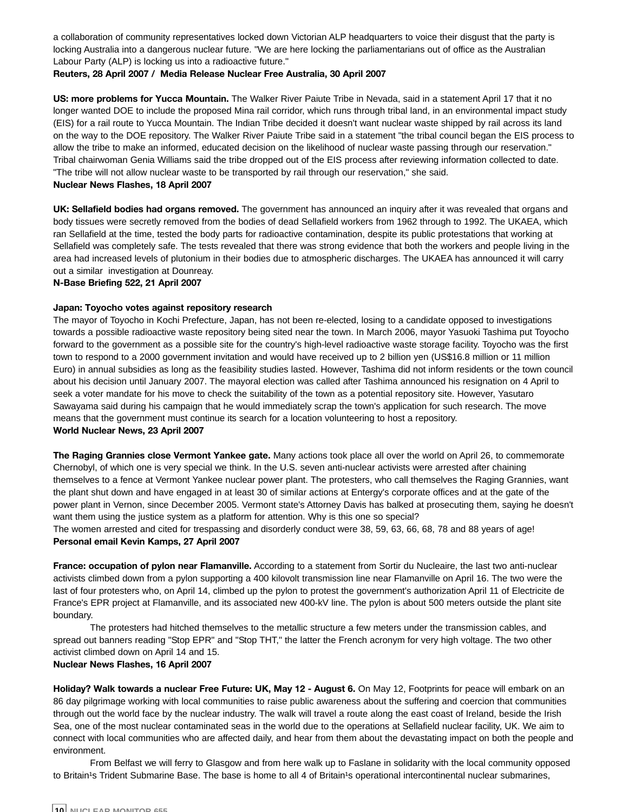a collaboration of community representatives locked down Victorian ALP headquarters to voice their disgust that the party is locking Australia into a dangerous nuclear future. "We are here locking the parliamentarians out of office as the Australian Labour Party (ALP) is locking us into a radioactive future."

#### **Reuters, 28 April 2007 / Media Release Nuclear Free Australia, 30 April 2007**

**US: more problems for Yucca Mountain.** The Walker River Paiute Tribe in Nevada, said in a statement April 17 that it no longer wanted DOE to include the proposed Mina rail corridor, which runs through tribal land, in an environmental impact study (EIS) for a rail route to Yucca Mountain. The Indian Tribe decided it doesn't want nuclear waste shipped by rail across its land on the way to the DOE repository. The Walker River Paiute Tribe said in a statement "the tribal council began the EIS process to allow the tribe to make an informed, educated decision on the likelihood of nuclear waste passing through our reservation." Tribal chairwoman Genia Williams said the tribe dropped out of the EIS process after reviewing information collected to date. "The tribe will not allow nuclear waste to be transported by rail through our reservation," she said.

#### **Nuclear News Flashes, 18 April 2007**

**UK: Sellafield bodies had organs removed.** The government has announced an inquiry after it was revealed that organs and body tissues were secretly removed from the bodies of dead Sellafield workers from 1962 through to 1992. The UKAEA, which ran Sellafield at the time, tested the body parts for radioactive contamination, despite its public protestations that working at Sellafield was completely safe. The tests revealed that there was strong evidence that both the workers and people living in the area had increased levels of plutonium in their bodies due to atmospheric discharges. The UKAEA has announced it will carry out a similar investigation at Dounreay.

**N-Base Briefing 522, 21 April 2007**

#### **Japan: Toyocho votes against repository research**

The mayor of Toyocho in Kochi Prefecture, Japan, has not been re-elected, losing to a candidate opposed to investigations towards a possible radioactive waste repository being sited near the town. In March 2006, mayor Yasuoki Tashima put Toyocho forward to the government as a possible site for the country's high-level radioactive waste storage facility. Toyocho was the first town to respond to a 2000 government invitation and would have received up to 2 billion yen (US\$16.8 million or 11 million Euro) in annual subsidies as long as the feasibility studies lasted. However, Tashima did not inform residents or the town council about his decision until January 2007. The mayoral election was called after Tashima announced his resignation on 4 April to seek a voter mandate for his move to check the suitability of the town as a potential repository site. However, Yasutaro Sawayama said during his campaign that he would immediately scrap the town's application for such research. The move means that the government must continue its search for a location volunteering to host a repository. **World Nuclear News, 23 April 2007**

**The Raging Grannies close Vermont Yankee gate.** Many actions took place all over the world on April 26, to commemorate Chernobyl, of which one is very special we think. In the U.S. seven anti-nuclear activists were arrested after chaining themselves to a fence at Vermont Yankee nuclear power plant. The protesters, who call themselves the Raging Grannies, want the plant shut down and have engaged in at least 30 of similar actions at Entergy's corporate offices and at the gate of the power plant in Vernon, since December 2005. Vermont state's Attorney Davis has balked at prosecuting them, saying he doesn't want them using the justice system as a platform for attention. Why is this one so special?

The women arrested and cited for trespassing and disorderly conduct were 38, 59, 63, 66, 68, 78 and 88 years of age! **Personal email Kevin Kamps, 27 April 2007**

**France: occupation of pylon near Flamanville.** According to a statement from Sortir du Nucleaire, the last two anti-nuclear activists climbed down from a pylon supporting a 400 kilovolt transmission line near Flamanville on April 16. The two were the last of four protesters who, on April 14, climbed up the pylon to protest the government's authorization April 11 of Electricite de France's EPR project at Flamanville, and its associated new 400-kV line. The pylon is about 500 meters outside the plant site boundary.

The protesters had hitched themselves to the metallic structure a few meters under the transmission cables, and spread out banners reading "Stop EPR" and "Stop THT," the latter the French acronym for very high voltage. The two other activist climbed down on April 14 and 15.

#### **Nuclear News Flashes, 16 April 2007**

**Holiday? Walk towards a nuclear Free Future: UK, May 12 - August 6.** On May 12, Footprints for peace will embark on an 86 day pilgrimage working with local communities to raise public awareness about the suffering and coercion that communities through out the world face by the nuclear industry. The walk will travel a route along the east coast of Ireland, beside the Irish Sea, one of the most nuclear contaminated seas in the world due to the operations at Sellafield nuclear facility, UK. We aim to connect with local communities who are affected daily, and hear from them about the devastating impact on both the people and environment.

From Belfast we will ferry to Glasgow and from here walk up to Faslane in solidarity with the local community opposed to Britain<sup>1</sup>s Trident Submarine Base. The base is home to all 4 of Britain<sup>1</sup>s operational intercontinental nuclear submarines,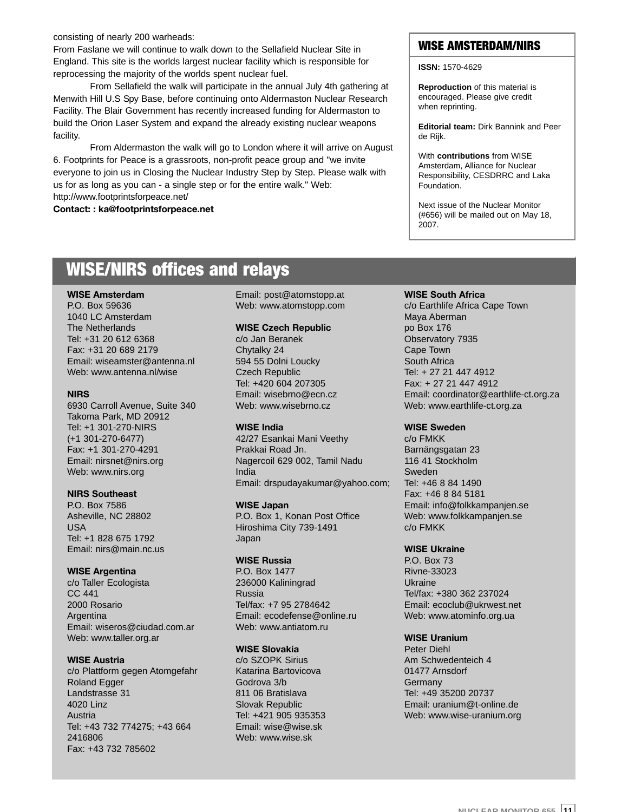consisting of nearly 200 warheads:

From Faslane we will continue to walk down to the Sellafield Nuclear Site in England. This site is the worlds largest nuclear facility which is responsible for reprocessing the majority of the worlds spent nuclear fuel.

From Sellafield the walk will participate in the annual July 4th gathering at Menwith Hill U.S Spy Base, before continuing onto Aldermaston Nuclear Research Facility. The Blair Government has recently increased funding for Aldermaston to build the Orion Laser System and expand the already existing nuclear weapons facility.

From Aldermaston the walk will go to London where it will arrive on August 6. Footprints for Peace is a grassroots, non-profit peace group and "we invite everyone to join us in Closing the Nuclear Industry Step by Step. Please walk with us for as long as you can - a single step or for the entire walk." Web: http://www.footprintsforpeace.net/

**Contact: : ka@footprintsforpeace.net**

#### WISE AMSTERDAM/NIRS

**ISSN:** 1570-4629

**Reproduction** of this material is encouraged. Please give credit when reprinting.

**Editorial team:** Dirk Bannink and Peer de Rijk.

With **contributions** from WISE Amsterdam, Alliance for Nuclear Responsibility, CESDRRC and Laka Foundation.

Next issue of the Nuclear Monitor (#656) will be mailed out on May 18, 2007.

#### WISE/NIRS offices and relays

#### **WISE Amsterdam**

P.O. Box 59636 1040 LC Amsterdam The Netherlands Tel: +31 20 612 6368 Fax: +31 20 689 2179 Email: wiseamster@antenna.nl Web: www.antenna.nl/wise

#### **NIRS**

6930 Carroll Avenue, Suite 340 Takoma Park, MD 20912 Tel: +1 301-270-NIRS (+1 301-270-6477) Fax: +1 301-270-4291 Email: nirsnet@nirs.org Web: www.nirs.org

#### **NIRS Southeast**

P.O. Box 7586 Asheville, NC 28802 USA Tel: +1 828 675 1792 Email: nirs@main.nc.us

#### **WISE Argentina**

c/o Taller Ecologista CC 441 2000 Rosario Argentina Email: wiseros@ciudad.com.ar Web: www.taller.org.ar

#### **WISE Austria**

c/o Plattform gegen Atomgefahr Roland Egger Landstrasse 31 4020 Linz Austria Tel: +43 732 774275; +43 664 2416806 Fax: +43 732 785602

Email: post@atomstopp.at Web: www.atomstopp.com

#### **WISE Czech Republic**

c/o Jan Beranek Chytalky 24 594 55 Dolni Loucky Czech Republic Tel: +420 604 207305 Email: wisebrno@ecn.cz Web: www.wisebrno.cz

#### **WISE India**

42/27 Esankai Mani Veethy Prakkai Road Jn. Nagercoil 629 002, Tamil Nadu India Email: drspudayakumar@yahoo.com;

#### **WISE Japan**

P.O. Box 1, Konan Post Office Hiroshima City 739-1491 Japan

#### **WISE Russia**

P.O. Box 1477 236000 Kaliningrad Russia Tel/fax: +7 95 2784642 Email: ecodefense@online.ru Web: www.antiatom.ru

#### **WISE Slovakia**

c/o SZOPK Sirius Katarina Bartovicova Godrova 3/b 811 06 Bratislava Slovak Republic Tel: +421 905 935353 Email: wise@wise.sk Web: www.wise.sk

#### **WISE South Africa**

c/o Earthlife Africa Cape Town Maya Aberman po Box 176 Observatory 7935 Cape Town South Africa Tel: + 27 21 447 4912 Fax: + 27 21 447 4912 Email: coordinator@earthlife-ct.org.za Web: www.earthlife-ct.org.za

#### **WISE Sweden**

c/o FMKK Barnängsgatan 23 116 41 Stockholm Sweden Tel: +46 8 84 1490 Fax: +46 8 84 5181 Email: info@folkkampanjen.se Web: www.folkkampanjen.se c/o FMKK

#### **WISE Ukraine**

P.O. Box 73 Rivne-33023 Ukraine Tel/fax: +380 362 237024 Email: ecoclub@ukrwest.net Web: www.atominfo.org.ua

#### **WISE Uranium**

Peter Diehl Am Schwedenteich 4 01477 Arnsdorf Germany Tel: +49 35200 20737 Email: uranium@t-online.de Web: www.wise-uranium.org